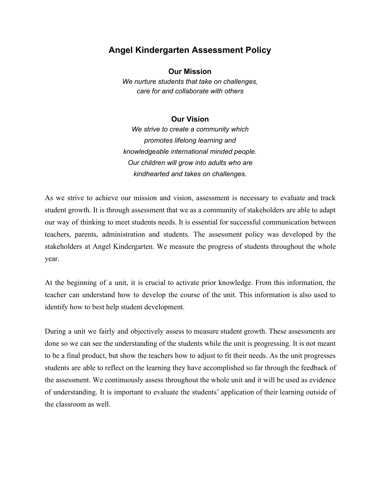## **Angel Kindergarten Assessment Policy**

**Our Mission**

*We nurture students that take on challenges, care for and collaborate with others*

## **Our Vision**

*We strive to create a community which promotes lifelong learning and knowledgeable international minded people. Our children will grow into adults who are kindhearted and takes on challenges.*

As we strive to achieve our mission and vision, assessment is necessary to evaluate and track student growth. It is through assessment that we as a community of stakeholders are able to adapt our way of thinking to meet students needs. It is essential for successful communication between teachers, parents, administration and students. The assessment policy was developed by the stakeholders at Angel Kindergarten. We measure the progress of students throughout the whole year.

At the beginning of a unit, it is crucial to activate prior knowledge. From this information, the teacher can understand how to develop the course of the unit. This information is also used to identify how to best help student development.

During a unit we fairly and objectively assess to measure student growth. These assessments are done so we can see the understanding of the students while the unit is progressing. It is not meant to be a final product, but show the teachers how to adjust to fit their needs. As the unit progresses students are able to reflect on the learning they have accomplished so far through the feedback of the assessment. We continuously assess throughout the whole unit and it will be used as evidence of understanding. It is important to evaluate the students' application of their learning outside of the classroom as well.